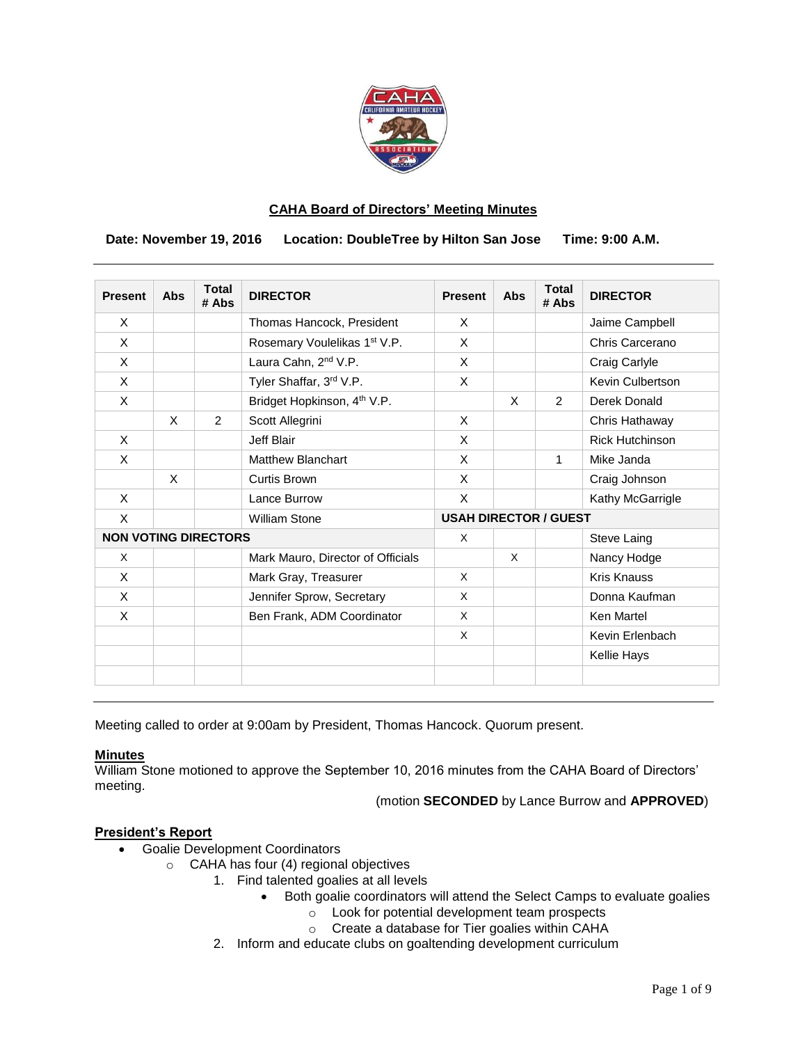

### **CAHA Board of Directors' Meeting Minutes**

 **Date: November 19, 2016 Location: DoubleTree by Hilton San Jose Time: 9:00 A.M.**

| <b>Present</b>              | <b>Abs</b> | <b>Total</b><br># Abs | <b>DIRECTOR</b>                         | <b>Present</b>               | Abs | <b>Total</b><br># Abs | <b>DIRECTOR</b>        |
|-----------------------------|------------|-----------------------|-----------------------------------------|------------------------------|-----|-----------------------|------------------------|
| X                           |            |                       | Thomas Hancock, President               | $\times$                     |     |                       | Jaime Campbell         |
| X                           |            |                       | Rosemary Voulelikas 1st V.P.            | X                            |     |                       | Chris Carcerano        |
| X                           |            |                       | Laura Cahn, 2 <sup>nd</sup> V.P.        | X                            |     |                       | Craig Carlyle          |
| X                           |            |                       | Tyler Shaffar, 3rd V.P.                 | X                            |     |                       | Kevin Culbertson       |
| X                           |            |                       | Bridget Hopkinson, 4 <sup>th</sup> V.P. |                              | X   | $\mathcal{P}$         | Derek Donald           |
|                             | $\times$   | 2                     | Scott Allegrini                         | X                            |     |                       | Chris Hathaway         |
| X                           |            |                       | Jeff Blair                              | X                            |     |                       | <b>Rick Hutchinson</b> |
| X                           |            |                       | <b>Matthew Blanchart</b>                | X                            |     | 1                     | Mike Janda             |
|                             | $\times$   |                       | <b>Curtis Brown</b>                     | X                            |     |                       | Craig Johnson          |
| X                           |            |                       | Lance Burrow                            | X                            |     |                       | Kathy McGarrigle       |
| X                           |            |                       | <b>William Stone</b>                    | <b>USAH DIRECTOR / GUEST</b> |     |                       |                        |
| <b>NON VOTING DIRECTORS</b> |            |                       |                                         | X                            |     |                       | Steve Laing            |
| X                           |            |                       | Mark Mauro, Director of Officials       |                              | X   |                       | Nancy Hodge            |
| X                           |            |                       | Mark Gray, Treasurer                    | X                            |     |                       | <b>Kris Knauss</b>     |
| X                           |            |                       | Jennifer Sprow, Secretary               | X                            |     |                       | Donna Kaufman          |
| X                           |            |                       | Ben Frank, ADM Coordinator              | X                            |     |                       | Ken Martel             |
|                             |            |                       |                                         | X                            |     |                       | Kevin Erlenbach        |
|                             |            |                       |                                         |                              |     |                       | <b>Kellie Hays</b>     |
|                             |            |                       |                                         |                              |     |                       |                        |

Meeting called to order at 9:00am by President, Thomas Hancock. Quorum present.

### **Minutes**

William Stone motioned to approve the September 10, 2016 minutes from the CAHA Board of Directors' meeting.

(motion **SECONDED** by Lance Burrow and **APPROVED**)

### **President's Report**

- Goalie Development Coordinators
	- o CAHA has four (4) regional objectives
		- 1. Find talented goalies at all levels
			- Both goalie coordinators will attend the Select Camps to evaluate goalies
				- o Look for potential development team prospects
				- o Create a database for Tier goalies within CAHA
		- 2. Inform and educate clubs on goaltending development curriculum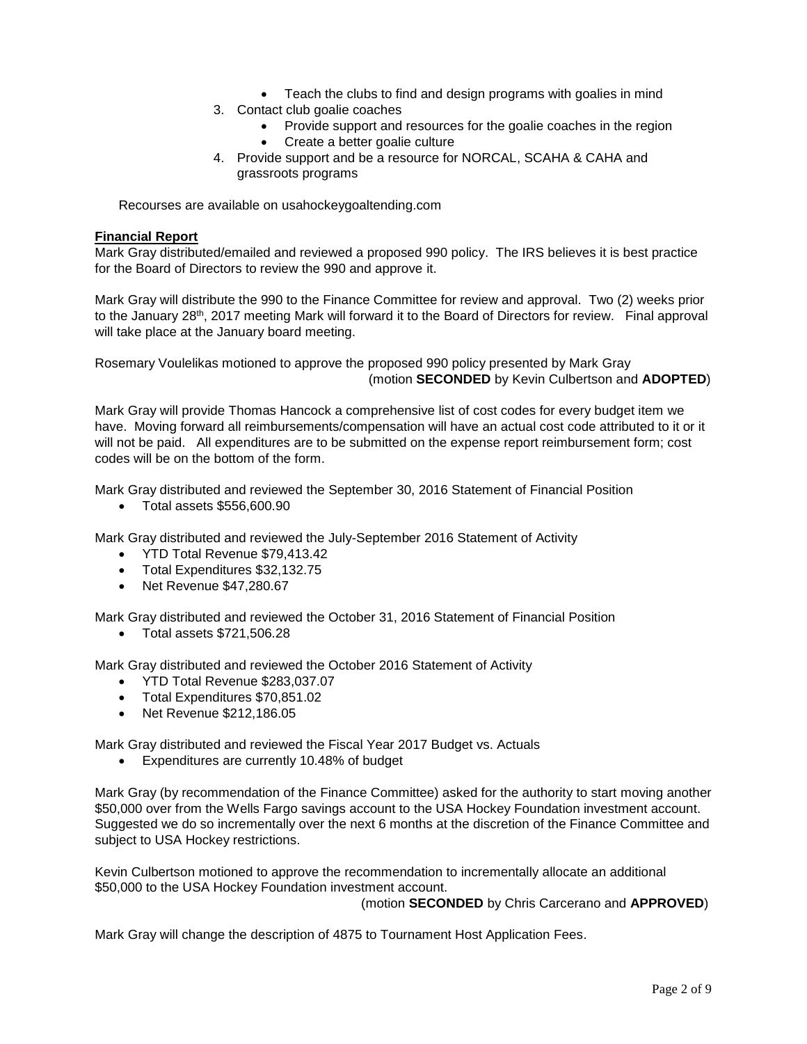- Teach the clubs to find and design programs with goalies in mind
- 3. Contact club goalie coaches
	- Provide support and resources for the goalie coaches in the region
	- Create a better goalie culture
- 4. Provide support and be a resource for NORCAL, SCAHA & CAHA and grassroots programs

Recourses are available on usahockeygoaltending.com

### **Financial Report**

Mark Gray distributed/emailed and reviewed a proposed 990 policy. The IRS believes it is best practice for the Board of Directors to review the 990 and approve it.

Mark Gray will distribute the 990 to the Finance Committee for review and approval. Two (2) weeks prior to the January 28<sup>th</sup>, 2017 meeting Mark will forward it to the Board of Directors for review. Final approval will take place at the January board meeting.

Rosemary Voulelikas motioned to approve the proposed 990 policy presented by Mark Gray (motion **SECONDED** by Kevin Culbertson and **ADOPTED**)

Mark Gray will provide Thomas Hancock a comprehensive list of cost codes for every budget item we have. Moving forward all reimbursements/compensation will have an actual cost code attributed to it or it will not be paid. All expenditures are to be submitted on the expense report reimbursement form; cost codes will be on the bottom of the form.

Mark Gray distributed and reviewed the September 30, 2016 Statement of Financial Position

Total assets \$556,600.90

Mark Gray distributed and reviewed the July-September 2016 Statement of Activity

- YTD Total Revenue \$79,413.42
- Total Expenditures \$32,132.75
- $\bullet$  Net Revenue \$47,280.67

Mark Gray distributed and reviewed the October 31, 2016 Statement of Financial Position

Total assets \$721,506.28

Mark Gray distributed and reviewed the October 2016 Statement of Activity

- YTD Total Revenue \$283,037.07
- Total Expenditures \$70,851.02
- Net Revenue \$212,186.05

Mark Gray distributed and reviewed the Fiscal Year 2017 Budget vs. Actuals

Expenditures are currently 10.48% of budget

Mark Gray (by recommendation of the Finance Committee) asked for the authority to start moving another \$50,000 over from the Wells Fargo savings account to the USA Hockey Foundation investment account. Suggested we do so incrementally over the next 6 months at the discretion of the Finance Committee and subject to USA Hockey restrictions.

Kevin Culbertson motioned to approve the recommendation to incrementally allocate an additional \$50,000 to the USA Hockey Foundation investment account.

(motion **SECONDED** by Chris Carcerano and **APPROVED**)

Mark Gray will change the description of 4875 to Tournament Host Application Fees.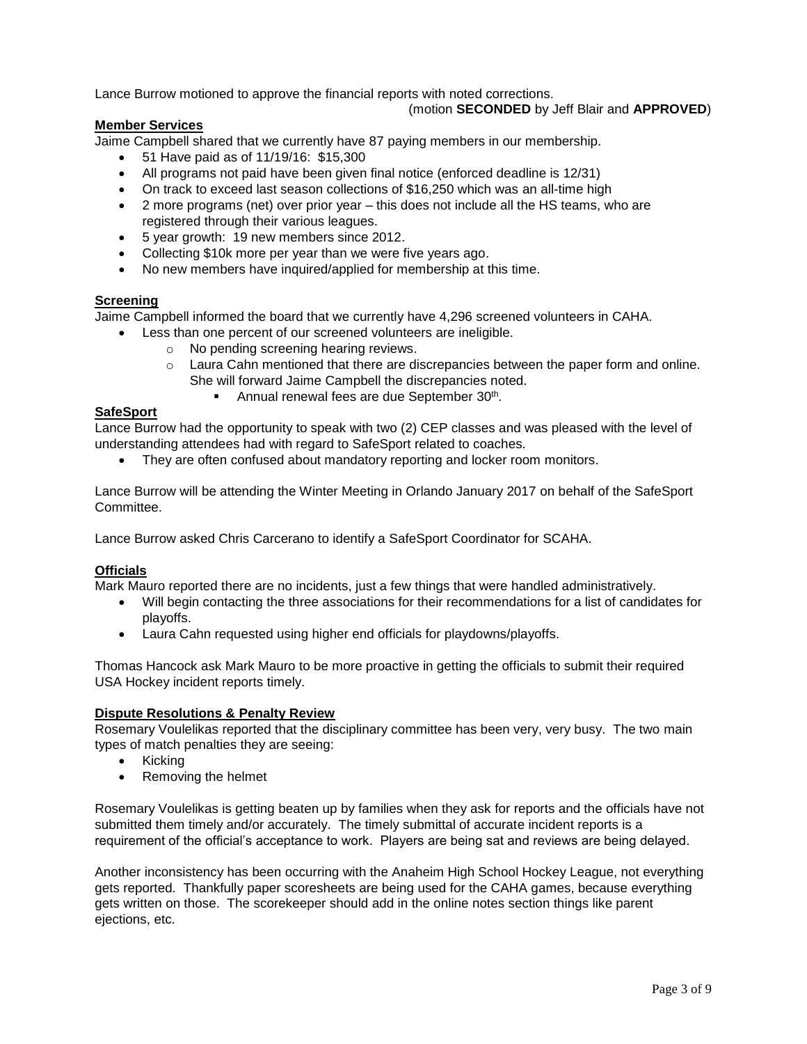Lance Burrow motioned to approve the financial reports with noted corrections.

### (motion **SECONDED** by Jeff Blair and **APPROVED**)

### **Member Services**

Jaime Campbell shared that we currently have 87 paying members in our membership.

- 51 Have paid as of 11/19/16: \$15,300
- All programs not paid have been given final notice (enforced deadline is 12/31)
- On track to exceed last season collections of \$16,250 which was an all-time high
- 2 more programs (net) over prior year this does not include all the HS teams, who are registered through their various leagues.
- 5 year growth: 19 new members since 2012.
- Collecting \$10k more per year than we were five years ago.
- No new members have inquired/applied for membership at this time.

# **Screening**

Jaime Campbell informed the board that we currently have 4,296 screened volunteers in CAHA.

- Less than one percent of our screened volunteers are ineligible.
	- o No pending screening hearing reviews.
	- $\circ$  Laura Cahn mentioned that there are discrepancies between the paper form and online. She will forward Jaime Campbell the discrepancies noted.
		- **Annual renewal fees are due September 30th.**

# **SafeSport**

Lance Burrow had the opportunity to speak with two (2) CEP classes and was pleased with the level of understanding attendees had with regard to SafeSport related to coaches.

• They are often confused about mandatory reporting and locker room monitors.

Lance Burrow will be attending the Winter Meeting in Orlando January 2017 on behalf of the SafeSport Committee.

Lance Burrow asked Chris Carcerano to identify a SafeSport Coordinator for SCAHA.

# **Officials**

Mark Mauro reported there are no incidents, just a few things that were handled administratively.

- Will begin contacting the three associations for their recommendations for a list of candidates for playoffs.
- Laura Cahn requested using higher end officials for playdowns/playoffs.

Thomas Hancock ask Mark Mauro to be more proactive in getting the officials to submit their required USA Hockey incident reports timely.

# **Dispute Resolutions & Penalty Review**

Rosemary Voulelikas reported that the disciplinary committee has been very, very busy. The two main types of match penalties they are seeing:

- Kicking
- Removing the helmet

Rosemary Voulelikas is getting beaten up by families when they ask for reports and the officials have not submitted them timely and/or accurately. The timely submittal of accurate incident reports is a requirement of the official's acceptance to work. Players are being sat and reviews are being delayed.

Another inconsistency has been occurring with the Anaheim High School Hockey League, not everything gets reported. Thankfully paper scoresheets are being used for the CAHA games, because everything gets written on those. The scorekeeper should add in the online notes section things like parent ejections, etc.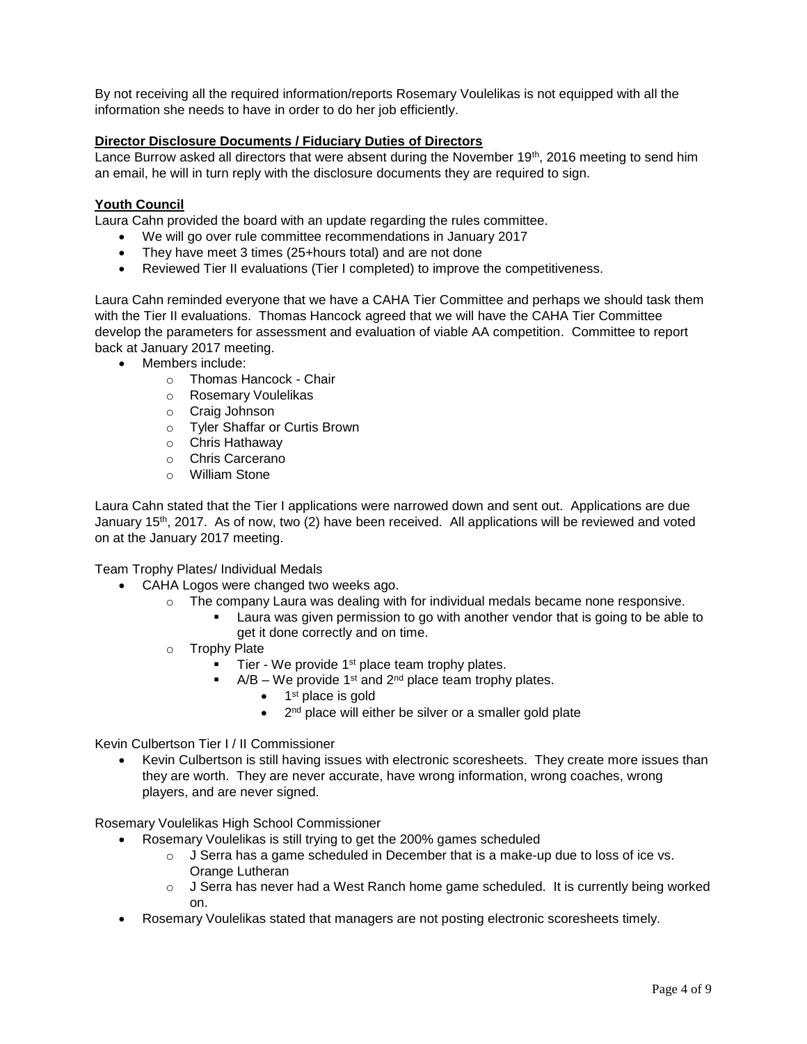By not receiving all the required information/reports Rosemary Voulelikas is not equipped with all the information she needs to have in order to do her job efficiently.

### **Director Disclosure Documents / Fiduciary Duties of Directors**

Lance Burrow asked all directors that were absent during the November 19<sup>th</sup>, 2016 meeting to send him an email, he will in turn reply with the disclosure documents they are required to sign.

### **Youth Council**

Laura Cahn provided the board with an update regarding the rules committee.

- We will go over rule committee recommendations in January 2017
- They have meet 3 times (25+hours total) and are not done
- Reviewed Tier II evaluations (Tier I completed) to improve the competitiveness.

Laura Cahn reminded everyone that we have a CAHA Tier Committee and perhaps we should task them with the Tier II evaluations. Thomas Hancock agreed that we will have the CAHA Tier Committee develop the parameters for assessment and evaluation of viable AA competition. Committee to report back at January 2017 meeting.

- Members include:
	- o Thomas Hancock Chair
	- o Rosemary Voulelikas
	- o Craig Johnson
	- o Tyler Shaffar or Curtis Brown
	- o Chris Hathaway
	- o Chris Carcerano
	- o William Stone

Laura Cahn stated that the Tier I applications were narrowed down and sent out. Applications are due January 15th, 2017. As of now, two (2) have been received. All applications will be reviewed and voted on at the January 2017 meeting.

Team Trophy Plates/ Individual Medals

- CAHA Logos were changed two weeks ago.
	- $\circ$  The company Laura was dealing with for individual medals became none responsive.
		- Laura was given permission to go with another vendor that is going to be able to get it done correctly and on time.
	- o Trophy Plate
		- $\blacksquare$  Tier We provide 1<sup>st</sup> place team trophy plates.
			- $A/B We$  provide 1<sup>st</sup> and 2<sup>nd</sup> place team trophy plates.
				- 1<sup>st</sup> place is gold
				- $\bullet$  $2<sup>nd</sup>$  place will either be silver or a smaller gold plate

### Kevin Culbertson Tier I / II Commissioner

 Kevin Culbertson is still having issues with electronic scoresheets. They create more issues than they are worth. They are never accurate, have wrong information, wrong coaches, wrong players, and are never signed.

Rosemary Voulelikas High School Commissioner

- Rosemary Voulelikas is still trying to get the 200% games scheduled
	- $\circ$  J Serra has a game scheduled in December that is a make-up due to loss of ice vs. Orange Lutheran
	- $\circ$  J Serra has never had a West Ranch home game scheduled. It is currently being worked on.
- Rosemary Voulelikas stated that managers are not posting electronic scoresheets timely.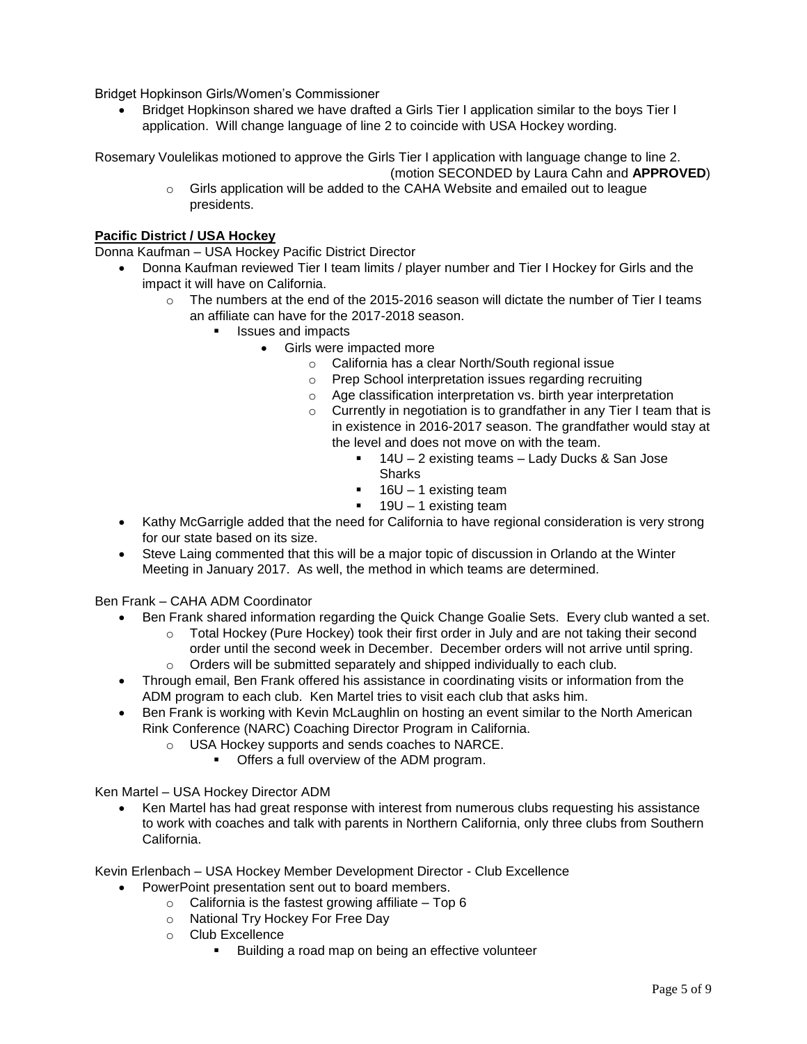Bridget Hopkinson Girls/Women's Commissioner

 Bridget Hopkinson shared we have drafted a Girls Tier I application similar to the boys Tier I application. Will change language of line 2 to coincide with USA Hockey wording.

Rosemary Voulelikas motioned to approve the Girls Tier I application with language change to line 2.

(motion SECONDED by Laura Cahn and **APPROVED**)

o Girls application will be added to the CAHA Website and emailed out to league presidents.

# **Pacific District / USA Hockey**

Donna Kaufman – USA Hockey Pacific District Director

- Donna Kaufman reviewed Tier I team limits / player number and Tier I Hockey for Girls and the impact it will have on California.
	- $\circ$  The numbers at the end of the 2015-2016 season will dictate the number of Tier I teams an affiliate can have for the 2017-2018 season.
		- Issues and impacts
			- Girls were impacted more
				- o California has a clear North/South regional issue
				- o Prep School interpretation issues regarding recruiting
				- o Age classification interpretation vs. birth year interpretation
				- $\circ$  Currently in negotiation is to grandfather in any Tier I team that is in existence in 2016-2017 season. The grandfather would stay at the level and does not move on with the team.
					- 14U 2 existing teams Lady Ducks & San Jose **Sharks**
					- $16U 1$  existing team
					- $19U 1$  existing team
- Kathy McGarrigle added that the need for California to have regional consideration is very strong for our state based on its size.
- Steve Laing commented that this will be a major topic of discussion in Orlando at the Winter Meeting in January 2017. As well, the method in which teams are determined.

Ben Frank – CAHA ADM Coordinator

- Ben Frank shared information regarding the Quick Change Goalie Sets. Every club wanted a set.
	- o Total Hockey (Pure Hockey) took their first order in July and are not taking their second order until the second week in December. December orders will not arrive until spring.
	- $\circ$  Orders will be submitted separately and shipped individually to each club.
- Through email, Ben Frank offered his assistance in coordinating visits or information from the ADM program to each club. Ken Martel tries to visit each club that asks him.
- Ben Frank is working with Kevin McLaughlin on hosting an event similar to the North American Rink Conference (NARC) Coaching Director Program in California.
	- o USA Hockey supports and sends coaches to NARCE.
		- **Offers a full overview of the ADM program.**

Ken Martel – USA Hockey Director ADM

 Ken Martel has had great response with interest from numerous clubs requesting his assistance to work with coaches and talk with parents in Northern California, only three clubs from Southern California.

Kevin Erlenbach – USA Hockey Member Development Director - Club Excellence

- PowerPoint presentation sent out to board members.
	- $\circ$  California is the fastest growing affiliate Top 6
	- o National Try Hockey For Free Day
	- o Club Excellence
		- Building a road map on being an effective volunteer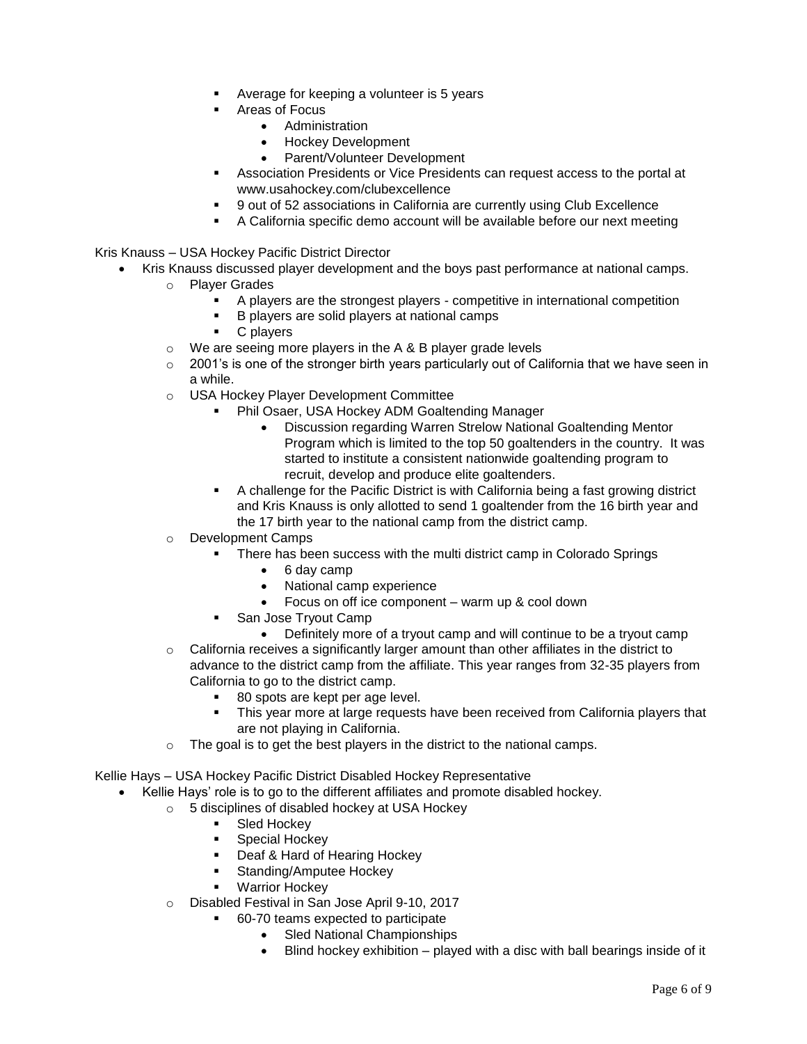- Average for keeping a volunteer is 5 years
- Areas of Focus
	- Administration
	- Hockey Development
	- Parent/Volunteer Development
- Association Presidents or Vice Presidents can request access to the portal at www.usahockey.com/clubexcellence
- 9 out of 52 associations in California are currently using Club Excellence
- A California specific demo account will be available before our next meeting

Kris Knauss – USA Hockey Pacific District Director

- Kris Knauss discussed player development and the boys past performance at national camps.
	- o Player Grades
		- A players are the strongest players competitive in international competition
		- B players are solid players at national camps
		- C players
	- $\circ$  We are seeing more players in the A & B player grade levels
	- $\circ$  2001's is one of the stronger birth years particularly out of California that we have seen in a while.
	- o USA Hockey Player Development Committee
		- Phil Osaer, USA Hockey ADM Goaltending Manager
			- Discussion regarding Warren Strelow National Goaltending Mentor Program which is limited to the top 50 goaltenders in the country. It was started to institute a consistent nationwide goaltending program to recruit, develop and produce elite goaltenders.
		- A challenge for the Pacific District is with California being a fast growing district and Kris Knauss is only allotted to send 1 goaltender from the 16 birth year and the 17 birth year to the national camp from the district camp.
	- o Development Camps
		- There has been success with the multi district camp in Colorado Springs
			- 6 day camp
			- National camp experience
			- Focus on off ice component warm up & cool down
		- San Jose Tryout Camp
	- Definitely more of a tryout camp and will continue to be a tryout camp  $\circ$  California receives a significantly larger amount than other affiliates in the district to advance to the district camp from the affiliate. This year ranges from 32-35 players from California to go to the district camp.
		- 80 spots are kept per age level.
		- This year more at large requests have been received from California players that are not playing in California.
	- $\circ$  The goal is to get the best players in the district to the national camps.

Kellie Hays – USA Hockey Pacific District Disabled Hockey Representative

- Kellie Hays' role is to go to the different affiliates and promote disabled hockey.
	- o 5 disciplines of disabled hockey at USA Hockey
		- Sled Hockey
		- Special Hockey
		- Deaf & Hard of Hearing Hockey
		- Standing/Amputee Hockey
		- Warrior Hockey
		- o Disabled Festival in San Jose April 9-10, 2017
			- 60-70 teams expected to participate
				- Sled National Championships
				- Blind hockey exhibition played with a disc with ball bearings inside of it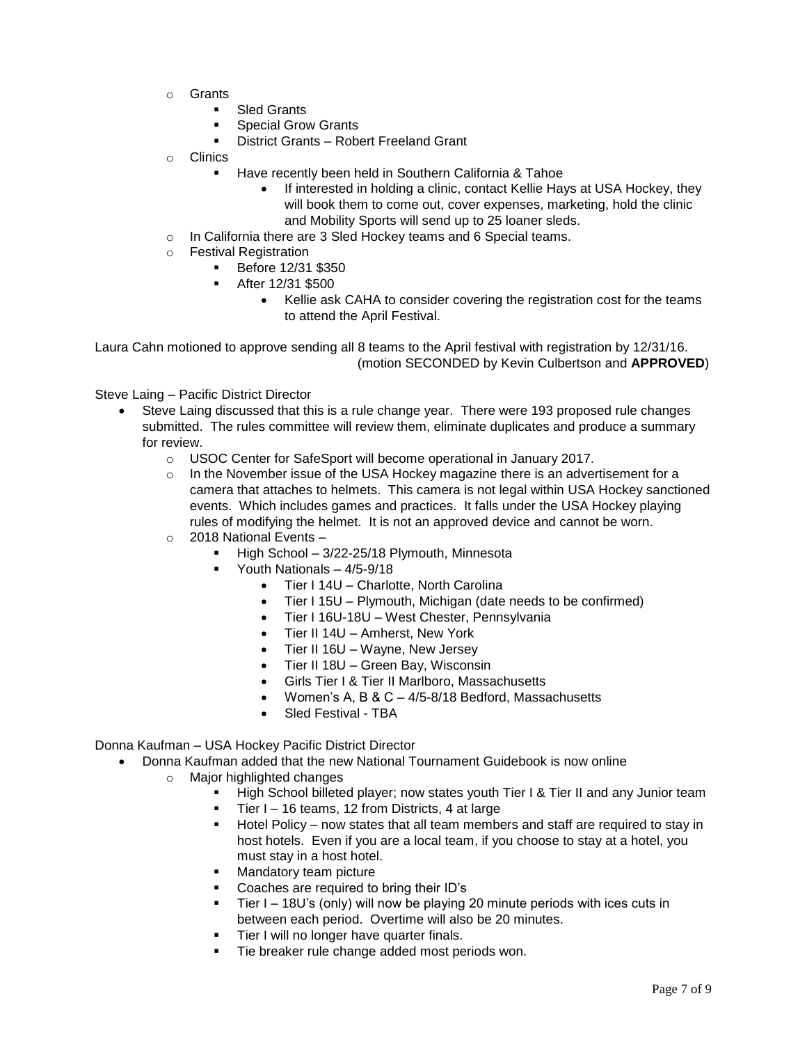- o Grants
	- Sled Grants
	- Special Grow Grants
	- District Grants Robert Freeland Grant
- o Clinics
	- Have recently been held in Southern California & Tahoe
		- If interested in holding a clinic, contact Kellie Hays at USA Hockey, they will book them to come out, cover expenses, marketing, hold the clinic and Mobility Sports will send up to 25 loaner sleds.
- o In California there are 3 Sled Hockey teams and 6 Special teams.
- o Festival Registration
	- Before 12/31 \$350
	- After 12/31 \$500
		- Kellie ask CAHA to consider covering the registration cost for the teams to attend the April Festival.

Laura Cahn motioned to approve sending all 8 teams to the April festival with registration by 12/31/16. (motion SECONDED by Kevin Culbertson and **APPROVED**)

Steve Laing – Pacific District Director

- Steve Laing discussed that this is a rule change year. There were 193 proposed rule changes submitted. The rules committee will review them, eliminate duplicates and produce a summary for review.
	- o USOC Center for SafeSport will become operational in January 2017.
	- $\circ$  In the November issue of the USA Hockey magazine there is an advertisement for a camera that attaches to helmets. This camera is not legal within USA Hockey sanctioned events. Which includes games and practices. It falls under the USA Hockey playing rules of modifying the helmet. It is not an approved device and cannot be worn.
	- o 2018 National Events
		- High School 3/22-25/18 Plymouth, Minnesota
		- Youth Nationals 4/5-9/18
			- Tier I 14U Charlotte, North Carolina
			- Tier I 15U Plymouth, Michigan (date needs to be confirmed)
			- Tier I 16U-18U West Chester, Pennsylvania
			- Tier II 14U Amherst, New York
			- Tier II 16U Wayne, New Jersey
			- Tier II 18U Green Bay, Wisconsin
			- Girls Tier I & Tier II Marlboro, Massachusetts
			- Women's A, B & C 4/5-8/18 Bedford, Massachusetts
			- Sled Festival TBA

Donna Kaufman – USA Hockey Pacific District Director

- Donna Kaufman added that the new National Tournament Guidebook is now online
	- o Major highlighted changes
		- High School billeted player; now states youth Tier I & Tier II and any Junior team
		- Tier I 16 teams, 12 from Districts, 4 at large
		- Hotel Policy now states that all team members and staff are required to stay in host hotels. Even if you are a local team, if you choose to stay at a hotel, you must stay in a host hotel.
		- **Mandatory team picture**
		- Coaches are required to bring their ID's
		- Tier I 18U's (only) will now be playing 20 minute periods with ices cuts in between each period. Overtime will also be 20 minutes.
		- Tier I will no longer have quarter finals.
		- Tie breaker rule change added most periods won.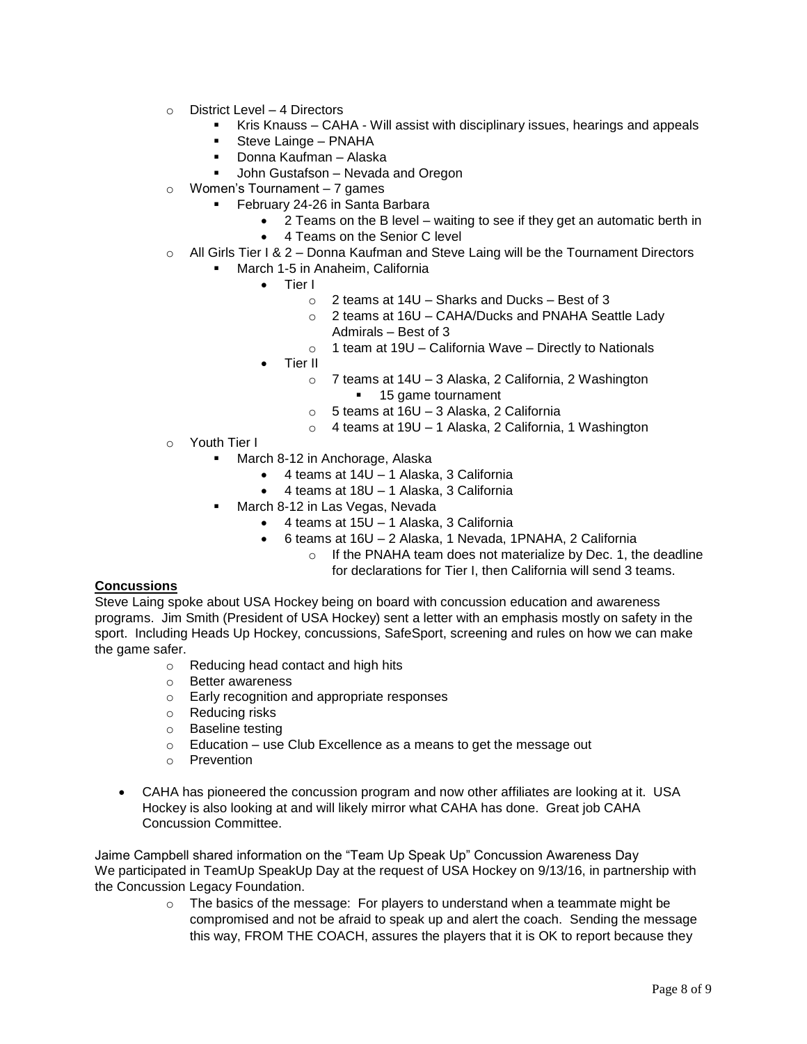- o District Level 4 Directors
	- Kris Knauss CAHA Will assist with disciplinary issues, hearings and appeals
	- **Steve Lainge PNAHA**
	- Donna Kaufman Alaska
	- John Gustafson Nevada and Oregon
- o Women's Tournament 7 games
	- February 24-26 in Santa Barbara
		- 2 Teams on the B level waiting to see if they get an automatic berth in
		- 4 Teams on the Senior C level
- $\circ$  All Girls Tier I & 2 Donna Kaufman and Steve Laing will be the Tournament Directors
	- March 1-5 in Anaheim, California
		- Tier I
			- $\circ$  2 teams at 14U Sharks and Ducks Best of 3
			- o 2 teams at 16U CAHA/Ducks and PNAHA Seattle Lady Admirals – Best of 3
			- $\circ$  1 team at 19U California Wave Directly to Nationals
		- Tier II
			- o 7 teams at 14U 3 Alaska, 2 California, 2 Washington **15 game tournament**
			- o 5 teams at 16U 3 Alaska, 2 California
			- o 4 teams at 19U 1 Alaska, 2 California, 1 Washington
- o Youth Tier I
	- **March 8-12 in Anchorage, Alaska** 
		- 4 teams at 14U 1 Alaska, 3 California
		- 4 teams at 18U 1 Alaska, 3 California
	- March 8-12 in Las Vegas, Nevada
		- 4 teams at 15U 1 Alaska, 3 California
		- 6 teams at 16U 2 Alaska, 1 Nevada, 1PNAHA, 2 California
			- o If the PNAHA team does not materialize by Dec. 1, the deadline for declarations for Tier I, then California will send 3 teams.

### **Concussions**

Steve Laing spoke about USA Hockey being on board with concussion education and awareness programs. Jim Smith (President of USA Hockey) sent a letter with an emphasis mostly on safety in the sport. Including Heads Up Hockey, concussions, SafeSport, screening and rules on how we can make the game safer.

- o Reducing head contact and high hits
- o Better awareness
- o Early recognition and appropriate responses
- o Reducing risks
- o Baseline testing
- $\circ$  Education use Club Excellence as a means to get the message out
- o Prevention
- CAHA has pioneered the concussion program and now other affiliates are looking at it. USA Hockey is also looking at and will likely mirror what CAHA has done. Great job CAHA Concussion Committee.

Jaime Campbell shared information on the "Team Up Speak Up" Concussion Awareness Day We participated in TeamUp SpeakUp Day at the request of USA Hockey on 9/13/16, in partnership with the Concussion Legacy Foundation.

> $\circ$  The basics of the message: For players to understand when a teammate might be compromised and not be afraid to speak up and alert the coach. Sending the message this way, FROM THE COACH, assures the players that it is OK to report because they